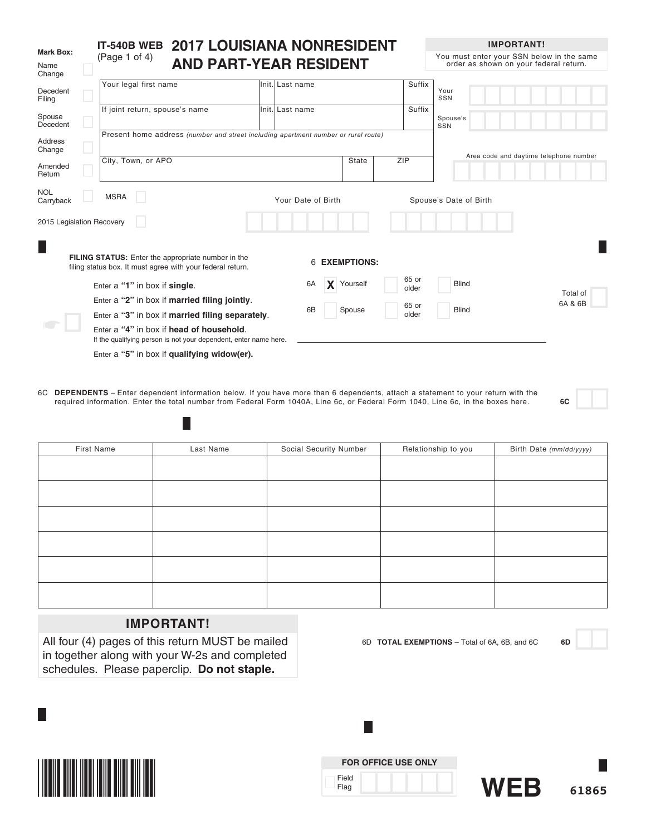|                             | IT-540B WEB                                                                                                      | <b>2017 LOUISIANA NONRESIDENT</b>                                                  |                 |                    |                    |                |                        | <b>IMPORTANT!</b>                                                                   |
|-----------------------------|------------------------------------------------------------------------------------------------------------------|------------------------------------------------------------------------------------|-----------------|--------------------|--------------------|----------------|------------------------|-------------------------------------------------------------------------------------|
| Mark Box:<br>Name<br>Change | (Page 1 of 4)                                                                                                    | <b>AND PART-YEAR RESIDENT</b>                                                      |                 |                    |                    |                |                        | You must enter your SSN below in the same<br>order as shown on your federal return. |
| Decedent<br>Filing          | Your legal first name                                                                                            |                                                                                    | Init. Last name |                    |                    | Suffix         | Your<br>SSN            |                                                                                     |
| Spouse<br>Decedent          | If joint return, spouse's name                                                                                   |                                                                                    | Init. Last name |                    |                    | Suffix         | Spouse's<br>SSN        |                                                                                     |
| <b>Address</b><br>Change    |                                                                                                                  | Present home address (number and street including apartment number or rural route) |                 |                    |                    |                |                        | Area code and daytime telephone number                                              |
| Amended<br>Return           | City, Town, or APO                                                                                               |                                                                                    |                 |                    | State              | ZIP            |                        |                                                                                     |
| <b>NOL</b><br>Carryback     | <b>MSRA</b>                                                                                                      |                                                                                    |                 | Your Date of Birth |                    |                | Spouse's Date of Birth |                                                                                     |
| 2015 Legislation Recovery   |                                                                                                                  |                                                                                    |                 |                    |                    |                |                        |                                                                                     |
| H                           | FILING STATUS: Enter the appropriate number in the<br>filing status box. It must agree with your federal return. |                                                                                    |                 |                    | <b>EXEMPTIONS:</b> |                |                        |                                                                                     |
|                             | Enter a "1" in box if single.                                                                                    |                                                                                    |                 | 6A                 | X Yourself         | 65 or<br>older | <b>Blind</b>           | Total of                                                                            |
|                             | Enter a "2" in box if married filing jointly.                                                                    |                                                                                    |                 |                    |                    | 65 or          |                        | 6A & 6B                                                                             |
|                             | Enter a "3" in box if married filing separately.                                                                 |                                                                                    |                 | 6B                 | Spouse             | older          | <b>Blind</b>           |                                                                                     |
|                             | Enter a "4" in box if head of household.<br>If the qualifying person is not your dependent, enter name here.     |                                                                                    |                 |                    |                    |                |                        |                                                                                     |
|                             | Enter a "5" in box if qualifying widow(er).                                                                      |                                                                                    |                 |                    |                    |                |                        |                                                                                     |

6C **DEPENDENTS** – Enter dependent information below. If you have more than 6 dependents, attach a statement to your return with the required information. Enter the total number from Federal Form 1040A, Line 6c, or Federal Form 1040, Line 6c, in the boxes here. **6C**

| First Name | Last Name | Social Security Number | Relationship to you | Birth Date (mm/dd/yyyy) |
|------------|-----------|------------------------|---------------------|-------------------------|
|            |           |                        |                     |                         |
|            |           |                        |                     |                         |
|            |           |                        |                     |                         |
|            |           |                        |                     |                         |
|            |           |                        |                     |                         |
|            |           |                        |                     |                         |
|            |           |                        |                     |                         |
|            |           |                        |                     |                         |
|            |           |                        |                     |                         |
|            |           |                        |                     |                         |
|            |           |                        |                     |                         |
|            |           |                        |                     |                         |

# **IMPORTANT!**

 $\mathbb{R}^2$ 

All four (4) pages of this return MUST be mailed in together along with your W-2s and completed schedules. Please paperclip. **Do not staple.**



6D **TOTAL EXEMPTIONS** – Total of 6A, 6B, and 6C **6D**

**IMPORTANT!**



L.

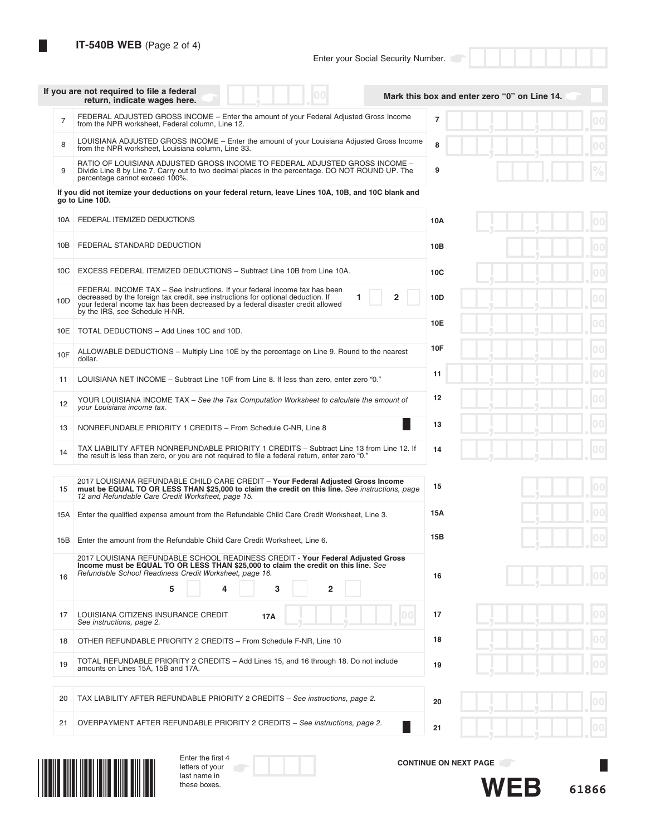| <b>IT-540B WEB</b> (Page 2 of 4) |  |  |  |  |
|----------------------------------|--|--|--|--|
|----------------------------------|--|--|--|--|

|                | If you are not required to file a federal<br>00<br>return, indicate wages here.                                                                                                                                                                                                                                     | Mark this box and enter zero "0" on Line 14. |
|----------------|---------------------------------------------------------------------------------------------------------------------------------------------------------------------------------------------------------------------------------------------------------------------------------------------------------------------|----------------------------------------------|
| $\overline{7}$ | FEDERAL ADJUSTED GROSS INCOME – Enter the amount of your Federal Adjusted Gross Income<br>from the NPR worksheet. Federal column. Line 12.                                                                                                                                                                          | 7                                            |
| 8              | LOUISIANA ADJUSTED GROSS INCOME - Enter the amount of your Louisiana Adjusted Gross Income<br>from the NPR worksheet, Louisiana column, Line 33.                                                                                                                                                                    | 8                                            |
| 9              | RATIO OF LOUISIANA ADJUSTED GROSS INCOME TO FEDERAL ADJUSTED GROSS INCOME -<br>Divide Line 8 by Line 7. Carry out to two decimal places in the percentage. DO NOT ROUND UP. The<br>percentage cannot exceed 100%.                                                                                                   | 9<br>0                                       |
|                | If you did not itemize your deductions on your federal return, leave Lines 10A, 10B, and 10C blank and<br>go to Line 10D.                                                                                                                                                                                           |                                              |
| 10A            | FEDERAL ITEMIZED DEDUCTIONS                                                                                                                                                                                                                                                                                         | 10A                                          |
| 10B            | FEDERAL STANDARD DEDUCTION                                                                                                                                                                                                                                                                                          | 10B                                          |
| 10C            | EXCESS FEDERAL ITEMIZED DEDUCTIONS - Subtract Line 10B from Line 10A.                                                                                                                                                                                                                                               | 00 <sup>1</sup><br>10 <sub>C</sub>           |
| 10D            | FEDERAL INCOME TAX - See instructions. If your federal income tax has been<br>$\overline{\mathbf{2}}$<br>decreased by the foreign tax credit, see instructions for optional deduction. If<br>1<br>your federal income tax has been decreased by a federal disaster credit allowed<br>by the IRS, see Schedule H-NR. | 10D<br>0 <sub>0</sub>                        |
| 10E            | TOTAL DEDUCTIONS - Add Lines 10C and 10D.                                                                                                                                                                                                                                                                           | 00<br>10E                                    |
| 10F            | ALLOWABLE DEDUCTIONS – Multiply Line 10E by the percentage on Line 9. Round to the nearest<br>dollar.                                                                                                                                                                                                               | 10F<br>00                                    |
| 11             | LOUISIANA NET INCOME - Subtract Line 10F from Line 8. If less than zero, enter zero "0."                                                                                                                                                                                                                            | 00<br>11                                     |
| 12             | YOUR LOUISIANA INCOME TAX - See the Tax Computation Worksheet to calculate the amount of<br>your Louisiana income tax.                                                                                                                                                                                              | 00<br>12                                     |
| 13             | NONREFUNDABLE PRIORITY 1 CREDITS - From Schedule C-NR, Line 8                                                                                                                                                                                                                                                       | 00<br>13                                     |
| 14             | TAX LIABILITY AFTER NONREFUNDABLE PRIORITY 1 CREDITS - Subtract Line 13 from Line 12. If<br>the result is less than zero, or you are not required to file a federal return, enter zero "0."                                                                                                                         | 00<br>14                                     |
| 15             | 2017 LOUISIANA REFUNDABLE CHILD CARE CREDIT - Your Federal Adjusted Gross Income<br>must be EQUAL TO OR LESS THAN \$25,000 to claim the credit on this line. See instructions, page<br>12 and Refundable Care Credit Worksheet, page 15.                                                                            | 15<br>00                                     |
| 15A            | Enter the qualified expense amount from the Refundable Child Care Credit Worksheet, Line 3.                                                                                                                                                                                                                         | 15A                                          |
| 15B            | Enter the amount from the Refundable Child Care Credit Worksheet, Line 6.                                                                                                                                                                                                                                           | 15B                                          |
| 16             | 2017 LOUISIANA REFUNDABLE SCHOOL READINESS CREDIT - Your Federal Adjusted Gross<br>Income must be EQUAL TO OR LESS THAN \$25,000 to claim the credit on this line. See<br>Refundable School Readiness Credit Worksheet, page 16.<br>$\overline{2}$<br>5<br>3<br>4                                                   | 16                                           |
| 17             | LOUISIANA CITIZENS INSURANCE CREDIT<br>17A<br>See instructions, page 2.                                                                                                                                                                                                                                             | 17                                           |
| 18             | OTHER REFUNDABLE PRIORITY 2 CREDITS - From Schedule F-NR, Line 10                                                                                                                                                                                                                                                   | 18                                           |
| 19             | TOTAL REFUNDABLE PRIORITY 2 CREDITS - Add Lines 15, and 16 through 18. Do not include<br>amounts on Lines 15A, 15B and 17A.                                                                                                                                                                                         | 00<br>19                                     |
| 20             | TAX LIABILITY AFTER REFUNDABLE PRIORITY 2 CREDITS - See instructions, page 2.                                                                                                                                                                                                                                       | 00<br>20                                     |
| 21             | OVERPAYMENT AFTER REFUNDABLE PRIORITY 2 CREDITS - See instructions, page 2.                                                                                                                                                                                                                                         | 21                                           |
|                |                                                                                                                                                                                                                                                                                                                     |                                              |



| Enter the first 4 |  |
|-------------------|--|
| letters of your   |  |
| last name in      |  |
| these boxes.      |  |

**CONTINUE ON NEXT PAGE**

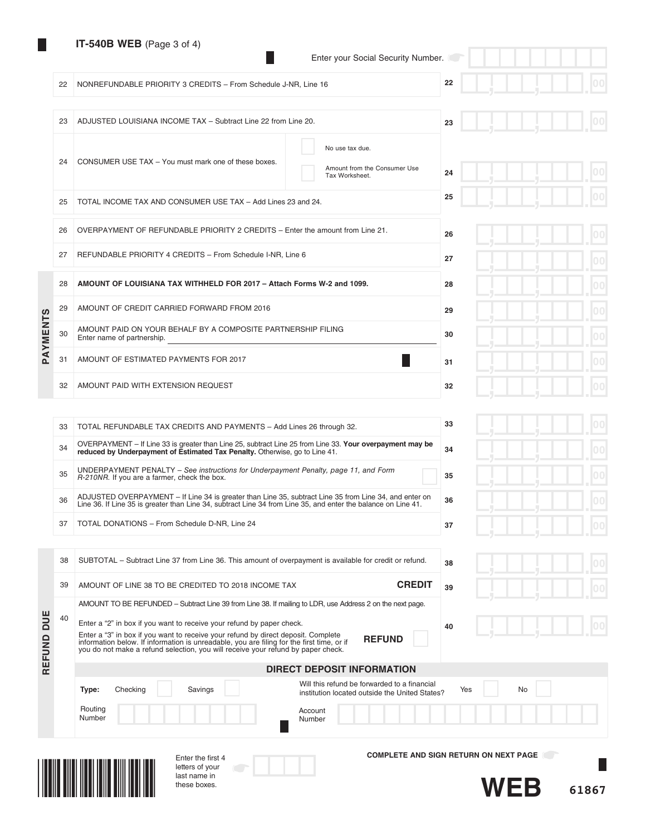# **IT-540B WEB** (Page 3 of 4)

22 NONREFUNDABLE PRIORITY 3 CREDITS - From Schedule J-NR, Line 16

23 ADJUSTED LOUISIANA INCOME TAX – Subtract Line 22 from Line 20.

|  |  | Enter your Social Security Number. |
|--|--|------------------------------------|
|  |  |                                    |

**22**

**23**

**38**

**39**

|  |  |  | ш | $ 00\rangle$ |
|--|--|--|---|--------------|
|  |  |  |   |              |
|  |  |  |   | 00           |

|                 | 24 | CONSUMER USE TAX - You must mark one of these boxes.                                       | No use tax due.<br>Amount from the Consumer Use<br>Tax Worksheet. | 24 |
|-----------------|----|--------------------------------------------------------------------------------------------|-------------------------------------------------------------------|----|
|                 | 25 | TOTAL INCOME TAX AND CONSUMER USE TAX - Add Lines 23 and 24.                               |                                                                   | 25 |
|                 | 26 | OVERPAYMENT OF REFUNDABLE PRIORITY 2 CREDITS - Enter the amount from Line 21.              | 26                                                                |    |
|                 | 27 | REFUNDABLE PRIORITY 4 CREDITS - From Schedule I-NR, Line 6                                 |                                                                   | 27 |
|                 | 28 | AMOUNT OF LOUISIANA TAX WITHHELD FOR 2017 - Attach Forms W-2 and 1099.                     |                                                                   | 28 |
|                 | 29 | AMOUNT OF CREDIT CARRIED FORWARD FROM 2016                                                 |                                                                   | 29 |
| <b>PAYMENTS</b> | 30 | AMOUNT PAID ON YOUR BEHALF BY A COMPOSITE PARTNERSHIP FILING<br>Enter name of partnership. |                                                                   | 30 |
|                 | 31 | AMOUNT OF ESTIMATED PAYMENTS FOR 2017                                                      |                                                                   | 31 |
|                 | 32 | AMOUNT PAID WITH EXTENSION REQUEST                                                         |                                                                   | 32 |

| 33 | TOTAL REFUNDABLE TAX CREDITS AND PAYMENTS - Add Lines 26 through 32.                                                                                                                                                    | 33 |
|----|-------------------------------------------------------------------------------------------------------------------------------------------------------------------------------------------------------------------------|----|
| 34 | OVERPAYMENT – If Line 33 is greater than Line 25, subtract Line 25 from Line 33. Your overpayment may be<br>reduced by Underpayment of Estimated Tax Penalty. Otherwise, go to Line 41.                                 | 34 |
| 35 | UNDERPAYMENT PENALTY – See instructions for Underpayment Penalty, page 11, and Form<br>R-210NR. If you are a farmer, check the box.                                                                                     | 35 |
| 36 | ADJUSTED OVERPAYMENT – If Line 34 is greater than Line 35, subtract Line 35 from Line 34, and enter on<br>Line 36. If Line 35 is greater than Line 34, subtract Line 34 from Line 35, and enter the balance on Line 41. | 36 |
| 37 | TOTAL DONATIONS - From Schedule D-NR, Line 24                                                                                                                                                                           | 37 |

38 SUBTOTAL – Subtract Line 37 from Line 36. This amount of overpayment is available for credit or refund.

39 AMOUNT OF LINE 38 TO BE CREDITED TO 2018 INCOME TAX **CREDIT**

AMOUNT TO BE REFUNDED – Subtract Line 39 from Line 38. If mailing to LDR, use Address 2 on the next page.

|   |    |   | 0 <sub>0</sub> |
|---|----|---|----------------|
| ŋ |    |   | 0 <sub>0</sub> |
| ų | 5. | ш | 0 <sub>0</sub> |
| ï |    |   | 0 <sub>0</sub> |
|   |    |   | 0 <sub>0</sub> |

|  |  | ı |
|--|--|---|
|  |  | J |

| DUE<br>REFUND | 40 |                   | Enter a "2" in box if you want to receive your refund by paper check.<br>Enter a "3" in box if you want to receive your refund by direct deposit. Complete<br>information below. If information is unreadable, you are filing for the first time, or if<br>you do not make a refund selection, you will receive your refund by paper check. | <b>REFUND</b>                                                                                  | 40                                           |
|---------------|----|-------------------|---------------------------------------------------------------------------------------------------------------------------------------------------------------------------------------------------------------------------------------------------------------------------------------------------------------------------------------------|------------------------------------------------------------------------------------------------|----------------------------------------------|
|               |    |                   |                                                                                                                                                                                                                                                                                                                                             | <b>DIRECT DEPOSIT INFORMATION</b>                                                              |                                              |
|               |    | Checking<br>Type: | Savings                                                                                                                                                                                                                                                                                                                                     | Will this refund be forwarded to a financial<br>institution located outside the United States? | No<br>Yes                                    |
|               |    | Routing<br>Number |                                                                                                                                                                                                                                                                                                                                             | Account<br>Number                                                                              |                                              |
|               |    |                   | Enter the first 4                                                                                                                                                                                                                                                                                                                           |                                                                                                | <b>COMPLETE AND SIGN RETURN ON NEXT PAGE</b> |



ND DUE

letters of your last name in these boxes.

**61867 WEB**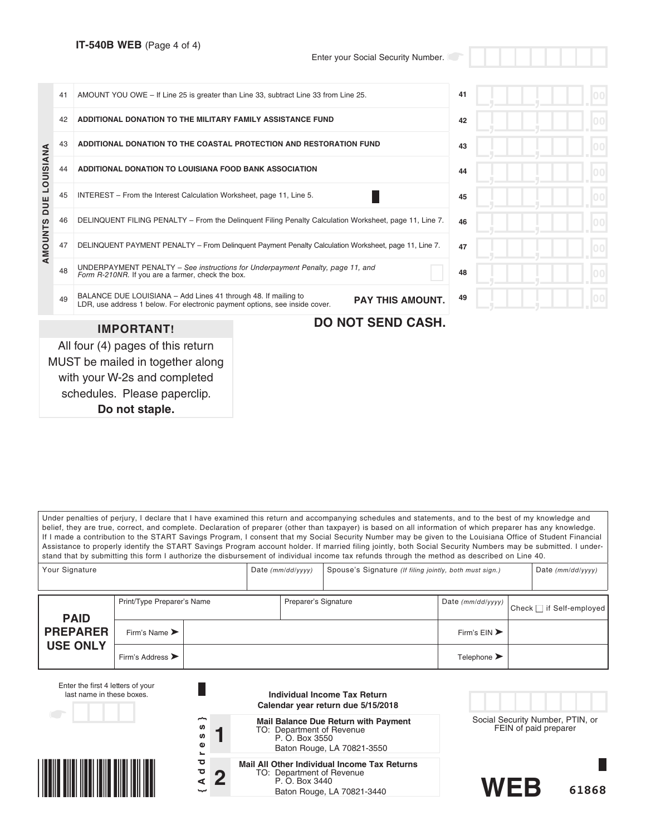schedules. Please paperclip. **Do not staple.**

|                | 41 | AMOUNT YOU OWE - If Line 25 is greater than Line 33, subtract Line 33 from Line 25.                                                           |    | 41 |
|----------------|----|-----------------------------------------------------------------------------------------------------------------------------------------------|----|----|
|                | 42 | ADDITIONAL DONATION TO THE MILITARY FAMILY ASSISTANCE FUND                                                                                    | 42 |    |
|                | 43 | ADDITIONAL DONATION TO THE COASTAL PROTECTION AND RESTORATION FUND                                                                            | 43 |    |
| DUE LOUISIANA  | 44 | ADDITIONAL DONATION TO LOUISIANA FOOD BANK ASSOCIATION                                                                                        |    | 44 |
|                | 45 | INTEREST - From the Interest Calculation Worksheet, page 11, Line 5.                                                                          | 45 |    |
|                | 46 | DELINQUENT FILING PENALTY - From the Delinquent Filing Penalty Calculation Worksheet, page 11, Line 7.                                        | 46 |    |
| <b>AMOUNTS</b> | 47 | DELINQUENT PAYMENT PENALTY - From Delinguent Payment Penalty Calculation Worksheet, page 11, Line 7.                                          | 47 |    |
|                | 48 | UNDERPAYMENT PENALTY - See instructions for Underpayment Penalty, page 11, and<br>Form R-210NR. If you are a farmer, check the box.           |    | 48 |
|                | 49 | BALANCE DUE LOUISIANA - Add Lines 41 through 48. If mailing to<br>LDR, use address 1 below. For electronic payment options, see inside cover. | 49 |    |
|                |    | <b>IMPORTANT!</b>                                                                                                                             |    |    |
|                |    | All four (4) pages of this return<br>MUST be mailed in together along<br>with your W-2s and completed                                         |    |    |

Under penalties of perjury, I declare that I have examined this return and accompanying schedules and statements, and to the best of my knowledge and belief, they are true, correct, and complete. Declaration of preparer (other than taxpayer) is based on all information of which preparer has any knowledge. If I made a contribution to the START Savings Program, I consent that my Social Security Number may be given to the Louisiana Office of Student Financial Assistance to properly identify the START Savings Program account holder. If married filing jointly, both Social Security Numbers may be submitted. I understand that by submitting this form I authorize the disbursement of individual income tax refunds through the method as described on Line 40.

| Your Signature  |                                      | Date $(mm/dd/yyyy)$  | Spouse's Signature (If filing jointly, both must sign.) |                                 | Date $(mm/dd/yyyy)$      |  |
|-----------------|--------------------------------------|----------------------|---------------------------------------------------------|---------------------------------|--------------------------|--|
| <b>PAID</b>     | Print/Type Preparer's Name           | Preparer's Signature |                                                         | Date (mm/dd/yyyy)               | Check   if Self-employed |  |
| <b>PREPARER</b> | Firm's Name $\blacktriangleright$    |                      |                                                         | Firm's $EIN$                    |                          |  |
| <b>USE ONLY</b> | Firm's Address $\blacktriangleright$ |                      |                                                         | Telephone $\blacktriangleright$ |                          |  |

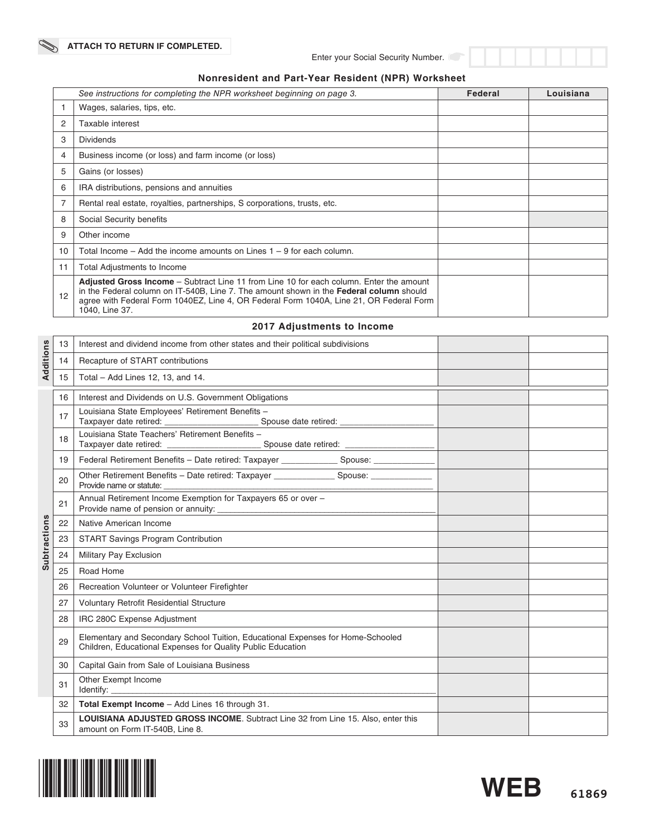# **Nonresident and Part-Year Resident (NPR) Worksheet**

|                | See instructions for completing the NPR worksheet beginning on page 3.                                                                                                                                                                                                                                 | Federal | Louisiana |
|----------------|--------------------------------------------------------------------------------------------------------------------------------------------------------------------------------------------------------------------------------------------------------------------------------------------------------|---------|-----------|
|                | Wages, salaries, tips, etc.                                                                                                                                                                                                                                                                            |         |           |
| $\overline{2}$ | Taxable interest                                                                                                                                                                                                                                                                                       |         |           |
| 3              | <b>Dividends</b>                                                                                                                                                                                                                                                                                       |         |           |
| 4              | Business income (or loss) and farm income (or loss)                                                                                                                                                                                                                                                    |         |           |
| 5              | Gains (or losses)                                                                                                                                                                                                                                                                                      |         |           |
| 6              | IRA distributions, pensions and annuities                                                                                                                                                                                                                                                              |         |           |
| 7              | Rental real estate, royalties, partnerships, S corporations, trusts, etc.                                                                                                                                                                                                                              |         |           |
| 8              | Social Security benefits                                                                                                                                                                                                                                                                               |         |           |
| 9              | Other income                                                                                                                                                                                                                                                                                           |         |           |
| 10             | Total Income $-$ Add the income amounts on Lines $1 - 9$ for each column.                                                                                                                                                                                                                              |         |           |
| 11             | Total Adjustments to Income                                                                                                                                                                                                                                                                            |         |           |
| 12             | <b>Adjusted Gross Income</b> – Subtract Line 11 from Line 10 for each column. Enter the amount<br>in the Federal column on IT-540B, Line 7. The amount shown in the Federal column should<br>agree with Federal Form 1040EZ, Line 4, OR Federal Form 1040A, Line 21, OR Federal Form<br>1040, Line 37. |         |           |

# **2017 Adjustments to Income**

|                     | 13 | Interest and dividend income from other states and their political subdivisions                                                                |  |
|---------------------|----|------------------------------------------------------------------------------------------------------------------------------------------------|--|
| Additions           | 14 | Recapture of START contributions                                                                                                               |  |
|                     | 15 | Total - Add Lines 12, 13, and 14.                                                                                                              |  |
|                     | 16 | Interest and Dividends on U.S. Government Obligations                                                                                          |  |
|                     | 17 | Louisiana State Employees' Retirement Benefits -                                                                                               |  |
|                     | 18 | Louisiana State Teachers' Retirement Benefits -                                                                                                |  |
|                     | 19 | Federal Retirement Benefits - Date retired: Taxpayer ______________ Spouse: _____________                                                      |  |
|                     | 20 | Other Retirement Benefits - Date retired: Taxpayer _________________ Spouse: ______________<br>Provide name or statute:                        |  |
|                     | 21 | Annual Retirement Income Exemption for Taxpayers 65 or over -                                                                                  |  |
|                     | 22 | Native American Income                                                                                                                         |  |
| <b>Subtractions</b> | 23 | <b>START Savings Program Contribution</b>                                                                                                      |  |
|                     | 24 | Military Pay Exclusion                                                                                                                         |  |
|                     | 25 | Road Home                                                                                                                                      |  |
|                     | 26 | Recreation Volunteer or Volunteer Firefighter                                                                                                  |  |
|                     | 27 | <b>Voluntary Retrofit Residential Structure</b>                                                                                                |  |
|                     | 28 | IRC 280C Expense Adjustment                                                                                                                    |  |
|                     | 29 | Elementary and Secondary School Tuition, Educational Expenses for Home-Schooled<br>Children, Educational Expenses for Quality Public Education |  |
|                     | 30 | Capital Gain from Sale of Louisiana Business                                                                                                   |  |
|                     | 31 | Other Exempt Income                                                                                                                            |  |
|                     | 32 | Total Exempt Income - Add Lines 16 through 31.                                                                                                 |  |
|                     | 33 | LOUISIANA ADJUSTED GROSS INCOME. Subtract Line 32 from Line 15. Also, enter this<br>amount on Form IT-540B, Line 8.                            |  |

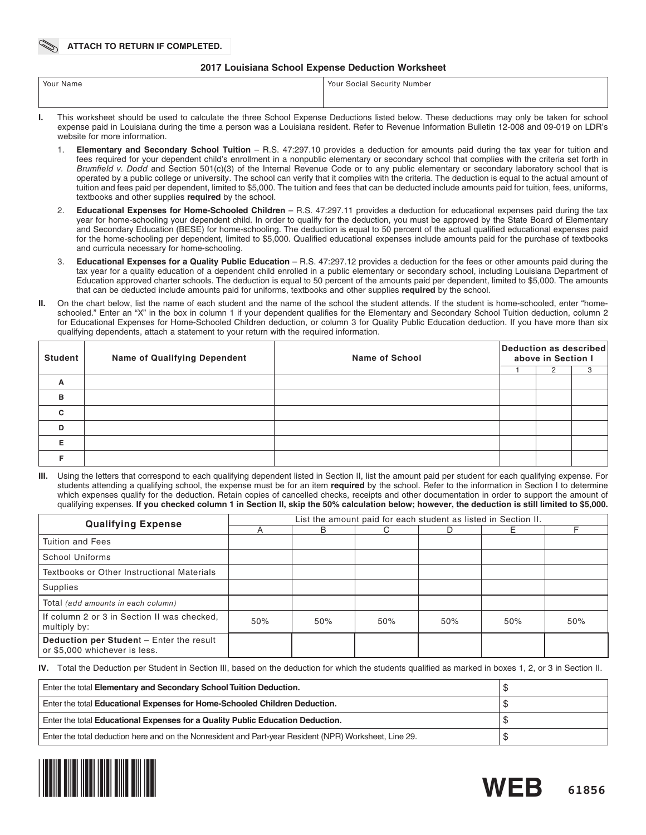### **2017 Louisiana School Expense Deduction Worksheet**

| Your Name | Your Social Security Number                                                                                                                |
|-----------|--------------------------------------------------------------------------------------------------------------------------------------------|
|           |                                                                                                                                            |
|           | This worksheet should he used to calculate the three School Expense Deductions listed helow. These deductions may only he taken for school |

- Ite the three School Expense Deductions listed below. expense paid in Louisiana during the time a person was a Louisiana resident. Refer to Revenue Information Bulletin 12-008 and 09-019 on LDR's website for more information.
	- 1. **Elementary and Secondary School Tuition** R.S. 47:297.10 provides a deduction for amounts paid during the tax year for tuition and fees required for your dependent child's enrollment in a nonpublic elementary or secondary school that complies with the criteria set forth in *Brumfield v. Dodd* and Section 501(c)(3) of the Internal Revenue Code or to any public elementary or secondary laboratory school that is operated by a public college or university. The school can verify that it complies with the criteria. The deduction is equal to the actual amount of tuition and fees paid per dependent, limited to \$5,000. The tuition and fees that can be deducted include amounts paid for tuition, fees, uniforms, textbooks and other supplies **required** by the school.
	- 2. **Educational Expenses for Home-Schooled Children** R.S. 47:297.11 provides a deduction for educational expenses paid during the tax year for home-schooling your dependent child. In order to qualify for the deduction, you must be approved by the State Board of Elementary and Secondary Education (BESE) for home-schooling. The deduction is equal to 50 percent of the actual qualified educational expenses paid for the home-schooling per dependent, limited to \$5,000. Qualified educational expenses include amounts paid for the purchase of textbooks and curricula necessary for home-schooling.
	- 3. **Educational Expenses for a Quality Public Education** R.S. 47:297.12 provides a deduction for the fees or other amounts paid during the tax year for a quality education of a dependent child enrolled in a public elementary or secondary school, including Louisiana Department of Education approved charter schools. The deduction is equal to 50 percent of the amounts paid per dependent, limited to \$5,000. The amounts that can be deducted include amounts paid for uniforms, textbooks and other supplies **required** by the school.
- **II.** On the chart below, list the name of each student and the name of the school the student attends. If the student is home-schooled, enter "homeschooled." Enter an "X" in the box in column 1 if your dependent qualifies for the Elementary and Secondary School Tuition deduction, column 2 for Educational Expenses for Home-Schooled Children deduction, or column 3 for Quality Public Education deduction. If you have more than six qualifying dependents, attach a statement to your return with the required information.

| <b>Student</b> | <b>Name of Qualifying Dependent</b> | <b>Name of School</b> | Deduction as described<br>above in Section I |   |  |  |
|----------------|-------------------------------------|-----------------------|----------------------------------------------|---|--|--|
|                |                                     |                       |                                              | 2 |  |  |
| A              |                                     |                       |                                              |   |  |  |
| в              |                                     |                       |                                              |   |  |  |
| $\mathbf c$    |                                     |                       |                                              |   |  |  |
| D              |                                     |                       |                                              |   |  |  |
| Е              |                                     |                       |                                              |   |  |  |
|                |                                     |                       |                                              |   |  |  |

Using the letters that correspond to each qualifying dependent listed in Section II, list the amount paid per student for each qualifying expense. For students attending a qualifying school, the expense must be for an item **required** by the school. Refer to the information in Section I to determine which expenses qualify for the deduction. Retain copies of cancelled checks, receipts and other documentation in order to support the amount of qualifying expenses. **If you checked column 1 in Section II, skip the 50% calculation below; however, the deduction is still limited to \$5,000.**

| <b>Qualifying Expense</b>                                                 | List the amount paid for each student as listed in Section II. |     |     |     |     |     |  |  |  |
|---------------------------------------------------------------------------|----------------------------------------------------------------|-----|-----|-----|-----|-----|--|--|--|
|                                                                           |                                                                | B   |     | D   |     |     |  |  |  |
| <b>Tuition and Fees</b>                                                   |                                                                |     |     |     |     |     |  |  |  |
| <b>School Uniforms</b>                                                    |                                                                |     |     |     |     |     |  |  |  |
| Textbooks or Other Instructional Materials                                |                                                                |     |     |     |     |     |  |  |  |
| Supplies                                                                  |                                                                |     |     |     |     |     |  |  |  |
| Total (add amounts in each column)                                        |                                                                |     |     |     |     |     |  |  |  |
| If column 2 or 3 in Section II was checked.<br>multiply by:               | 50%                                                            | 50% | 50% | 50% | 50% | 50% |  |  |  |
| Deduction per Student - Enter the result<br>or \$5,000 whichever is less. |                                                                |     |     |     |     |     |  |  |  |

**IV.** Total the Deduction per Student in Section III, based on the deduction for which the students qualified as marked in boxes 1, 2, or 3 in Section II.

| Enter the total Elementary and Secondary School Tuition Deduction.                                     | AD. |
|--------------------------------------------------------------------------------------------------------|-----|
| Enter the total Educational Expenses for Home-Schooled Children Deduction.                             |     |
| Enter the total Educational Expenses for a Quality Public Education Deduction.                         | ۰D  |
| Enter the total deduction here and on the Nonresident and Part-year Resident (NPR) Worksheet, Line 29. |     |



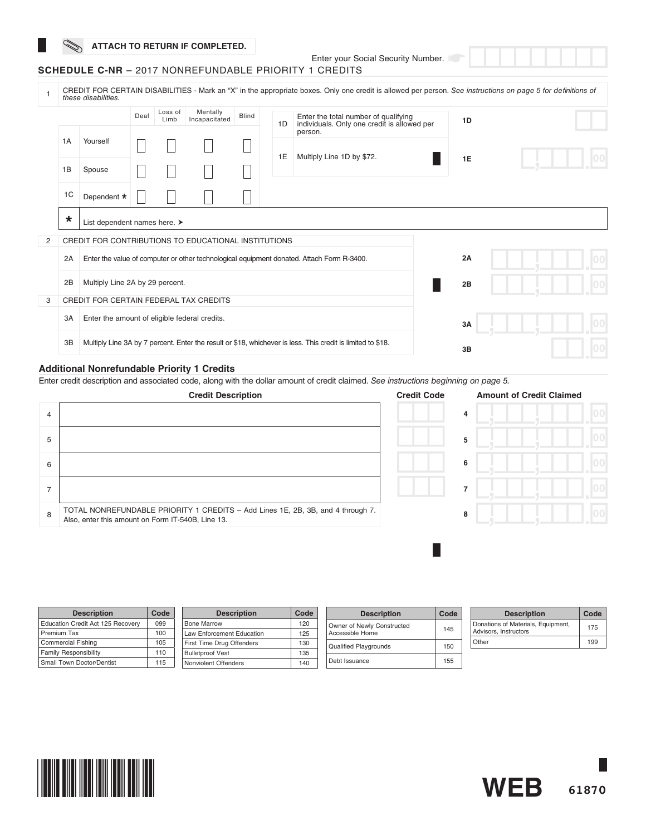# **ATTACH TO RETURN IF COMPLETED.**

Enter your Social Security Number.

# **SCHEDULE C-NR –** 2017 NONREFUNDABLE PRIORITY 1 CREDITS

|   |         | these disabilities.                                  |      |                 |                           |              |    | CREDIT FOR CERTAIN DISABILITIES - Mark an "X" in the appropriate boxes. Only one credit is allowed per person. See instructions on page 5 for definitions of |    |  |
|---|---------|------------------------------------------------------|------|-----------------|---------------------------|--------------|----|--------------------------------------------------------------------------------------------------------------------------------------------------------------|----|--|
|   |         |                                                      | Deaf | Loss of<br>Limb | Mentally<br>Incapacitated | <b>Blind</b> | 1D | Enter the total number of qualifying<br>individuals. Only one credit is allowed per                                                                          | 1D |  |
|   | 1A      | Yourself                                             |      |                 |                           |              | 1E | person.<br>Multiply Line 1D by \$72.                                                                                                                         |    |  |
|   | 1B      | Spouse                                               |      |                 |                           |              |    |                                                                                                                                                              | 1E |  |
|   | 1C      | Dependent *                                          |      |                 |                           |              |    |                                                                                                                                                              |    |  |
|   | $\star$ | List dependent names here. ▶                         |      |                 |                           |              |    |                                                                                                                                                              |    |  |
| 2 |         | CREDIT FOR CONTRIBUTIONS TO EDUCATIONAL INSTITUTIONS |      |                 |                           |              |    |                                                                                                                                                              |    |  |
|   | 2A      |                                                      |      |                 |                           |              |    | Enter the value of computer or other technological equipment donated. Attach Form R-3400.                                                                    | 2A |  |
|   | 2B      | Multiply Line 2A by 29 percent.                      |      |                 |                           |              |    |                                                                                                                                                              | 2B |  |
| 3 |         | <b>CREDIT FOR CERTAIN FEDERAL TAX CREDITS</b>        |      |                 |                           |              |    |                                                                                                                                                              |    |  |
|   | 3A      | Enter the amount of eligible federal credits.        |      |                 |                           |              |    |                                                                                                                                                              | 3A |  |
|   | 3B      |                                                      |      |                 |                           |              |    | Multiply Line 3A by 7 percent. Enter the result or \$18, whichever is less. This credit is limited to \$18.                                                  | 3B |  |

### **Additional Nonrefundable Priority 1 Credits**

Enter credit description and associated code, along with the dollar amount of credit claimed. *See instructions beginning on page 5.*

|   | <b>Credit Description</b>                                                                                                            | <b>Credit Code</b> | <b>Amount of Credit Claimed</b> |  |
|---|--------------------------------------------------------------------------------------------------------------------------------------|--------------------|---------------------------------|--|
| 4 |                                                                                                                                      |                    | 4                               |  |
| 5 |                                                                                                                                      |                    | 5                               |  |
| 6 |                                                                                                                                      |                    | 6                               |  |
|   |                                                                                                                                      |                    | 7                               |  |
| 8 | TOTAL NONREFUNDABLE PRIORITY 1 CREDITS - Add Lines 1E, 2B, 3B, and 4 through 7.<br>Also, enter this amount on Form IT-540B, Line 13. |                    | 8                               |  |
|   |                                                                                                                                      |                    |                                 |  |

| <b>Description</b>                | Code | <b>Description</b>               | Code | <b>Description</b>           | Code | <b>Description</b>                 | Code |
|-----------------------------------|------|----------------------------------|------|------------------------------|------|------------------------------------|------|
| Education Credit Act 125 Recovery | 099  | <b>Bone Marrow</b>               | 120  | Owner of Newly Constructed   |      | Donations of Materials, Equipment, | 175  |
| Premium Tax                       | 100  | <b>Law Enforcement Education</b> | 125  | Accessible Home              | 145  | Advisors, Instructors              |      |
| <b>Commercial Fishing</b>         | 105  | First Time Drug Offenders        | 130  | <b>Qualified Playgrounds</b> | 150  | Other                              | 199  |
| <b>Family Responsibility</b>      | 110  | <b>Bulletproof Vest</b>          | 135  |                              |      |                                    |      |
| Small Town Doctor/Dentist         | 115  | Nonviolent Offenders             | 140  | Debt Issuance                | 155  |                                    |      |



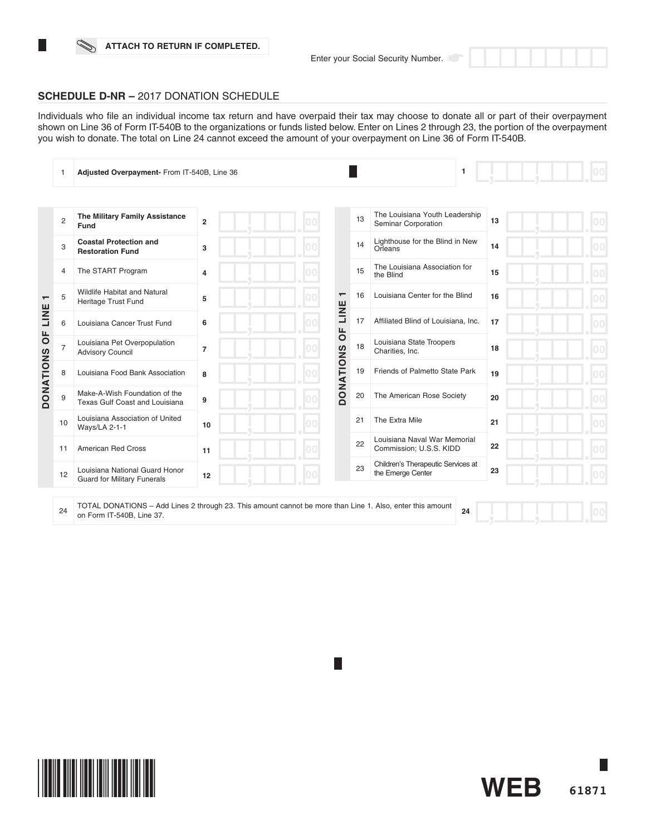### **ATTACH TO RETURN IF COMPLETED.**

**61871**

**WEB**



Individuals who file an individual income tax return and have overpaid their tax may choose to donate all or part of their overpayment shown on Line 36 of Form IT-540B to the organizations or funds listed below. Enter on Lines 2 through 23, the portion of the overpayment you wish to donate. The total on Line 24 cannot exceed the amount of your overpayment on Line 36 of Form IT-540B.

|                          |                | Adjusted Overpayment- From IT-540B, Line 36                          |                |     |                  |    | $\mathbf{1}$                                            |    |  |
|--------------------------|----------------|----------------------------------------------------------------------|----------------|-----|------------------|----|---------------------------------------------------------|----|--|
|                          |                |                                                                      |                |     |                  |    |                                                         |    |  |
|                          | $\overline{2}$ | The Military Family Assistance<br>Fund                               | $\overline{2}$ |     |                  | 13 | The Louisiana Youth Leadership<br>Seminar Corporation   | 13 |  |
|                          | 3              | <b>Coastal Protection and</b><br><b>Restoration Fund</b>             | 3              |     |                  | 14 | Lighthouse for the Blind in New<br>Orleans              | 14 |  |
|                          | 4              | The START Program                                                    | $\overline{4}$ | loo |                  | 15 | The Louisiana Association for<br>the Blind              | 15 |  |
| $\overline{\phantom{0}}$ | 5              | <b>Wildlife Habitat and Natural</b><br>Heritage Trust Fund           | 5              |     | $\mathbf -$      | 16 | Louisiana Center for the Blind                          | 16 |  |
| LINE                     | 6              | Louisiana Cancer Trust Fund                                          | 6              |     | LINE             | 17 | Affiliated Blind of Louisiana, Inc.                     | 17 |  |
| $\overline{0}$           | $\overline{7}$ | Louisiana Pet Overpopulation<br><b>Advisory Council</b>              | $\overline{7}$ |     | ЪP               | 18 | Louisiana State Troopers<br>Charities, Inc.             | 18 |  |
| <b>DONATIONS</b>         | 8              | Louisiana Food Bank Association                                      | 8              |     | <b>DONATIONS</b> | 19 | Friends of Palmetto State Park                          | 19 |  |
|                          | 9              | Make-A-Wish Foundation of the<br>Texas Gulf Coast and Louisiana      | 9              |     |                  | 20 | The American Rose Society                               | 20 |  |
|                          | 10             | Louisiana Association of United<br>Ways/LA 2-1-1                     | 10             | loo |                  | 21 | The Extra Mile                                          | 21 |  |
|                          | 11             | <b>American Red Cross</b>                                            | 11             |     |                  | 22 | Louisiana Naval War Memorial<br>Commission; U.S.S. KIDD | 22 |  |
|                          | 12             | Louisiana National Guard Honor<br><b>Guard for Military Funerals</b> | 12             |     |                  | 23 | Children's Therapeutic Services at<br>the Emerge Center | 23 |  |
|                          |                |                                                                      |                |     |                  |    |                                                         |    |  |

24 TOTAL DONATIONS – Add Lines 2 through 23. This amount cannot be more than Line 1. Also, enter this amount on Form IT-540B, Line 37. **24**

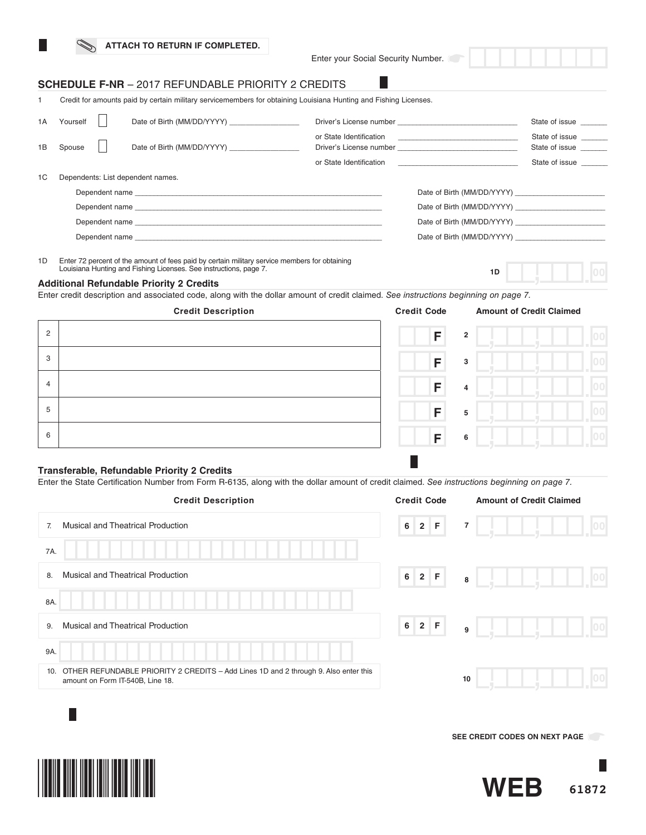|  |  |  | ATTACH TO RETURN IF COMPLETED. |  |  |  |
|--|--|--|--------------------------------|--|--|--|
|--|--|--|--------------------------------|--|--|--|

Enter your Social Security Number.

# **SCHEDULE F-NR** – 2017 REFUNDABLE PRIORITY 2 CREDITS

1 Credit for amounts paid by certain military servicemembers for obtaining Louisiana Hunting and Fishing Licenses.

| 1A | Yourself | Date of Birth (MM/DD/YYYY)                                                                                                                                                                                                    |                         |                                                                            | State of issue                   |
|----|----------|-------------------------------------------------------------------------------------------------------------------------------------------------------------------------------------------------------------------------------|-------------------------|----------------------------------------------------------------------------|----------------------------------|
| 1B | Spouse   | Date of Birth (MM/DD/YYYY)                                                                                                                                                                                                    | or State Identification | the control of the control of the control of the control of the control of | State of issue<br>State of issue |
|    |          |                                                                                                                                                                                                                               | or State Identification | the control of the control of the control of the control of                | State of issue                   |
| 1C |          | Dependents: List dependent names.                                                                                                                                                                                             |                         |                                                                            |                                  |
|    |          |                                                                                                                                                                                                                               |                         |                                                                            |                                  |
|    |          |                                                                                                                                                                                                                               |                         | Date of Birth (MM/DD/YYYY)                                                 |                                  |
|    |          |                                                                                                                                                                                                                               |                         | Date of Birth (MM/DD/YYYY)                                                 |                                  |
|    |          | Dependent name experience and the contract of the contract of the contract of the contract of the contract of the contract of the contract of the contract of the contract of the contract of the contract of the contract of |                         | Date of Birth (MM/DD/YYYY)                                                 |                                  |

1D Enter 72 percent of the amount of fees paid by certain military service members for obtaining Louisiana Hunting and Fishing Licenses. See instructions, page 7.

# **Additional Refundable Priority 2 Credits**

Enter credit description and associated code, along with the dollar amount of credit claimed. *See instructions beginning on page 7.*

|                | <b>Credit Description</b> | <b>Credit Code</b> | <b>Amount of Credit Claimed</b> |  |
|----------------|---------------------------|--------------------|---------------------------------|--|
| $\overline{c}$ |                           | F                  | $\overline{2}$                  |  |
| 3              |                           | F                  | 3                               |  |
| $\overline{4}$ |                           | F                  | 4                               |  |
| 5              |                           | F                  | 5                               |  |
| 6              |                           | F                  | 6                               |  |

### **Transferable, Refundable Priority 2 Credits**

Enter the State Certification Number from Form R-6135, along with the dollar amount of credit claimed. *See instructions beginning on page 7.*

| <b>Credit Description</b>                                                                                                      | <b>Credit Code</b>      | <b>Amount of Credit Claimed</b> |
|--------------------------------------------------------------------------------------------------------------------------------|-------------------------|---------------------------------|
| <b>Musical and Theatrical Production</b><br>7.                                                                                 | 2 F <br>6 <sup>1</sup>  | $\overline{7}$<br> 00           |
| 7A.                                                                                                                            |                         |                                 |
| <b>Musical and Theatrical Production</b><br>8.                                                                                 | 6 2 F                   | 00 <br>8                        |
| 8A.                                                                                                                            |                         |                                 |
| <b>Musical and Theatrical Production</b><br>9.                                                                                 | $2$ F<br>6 <sup>1</sup> | 00 <br>- 10<br>9                |
| 9A.                                                                                                                            |                         |                                 |
| OTHER REFUNDABLE PRIORITY 2 CREDITS - Add Lines 1D and 2 through 9. Also enter this<br>10.<br>amount on Form IT-540B, Line 18. |                         | 10                              |
|                                                                                                                                |                         |                                 |

**TERRITORIA** 

**SEE CREDIT CODES ON NEXT PAGE** 

**1D**

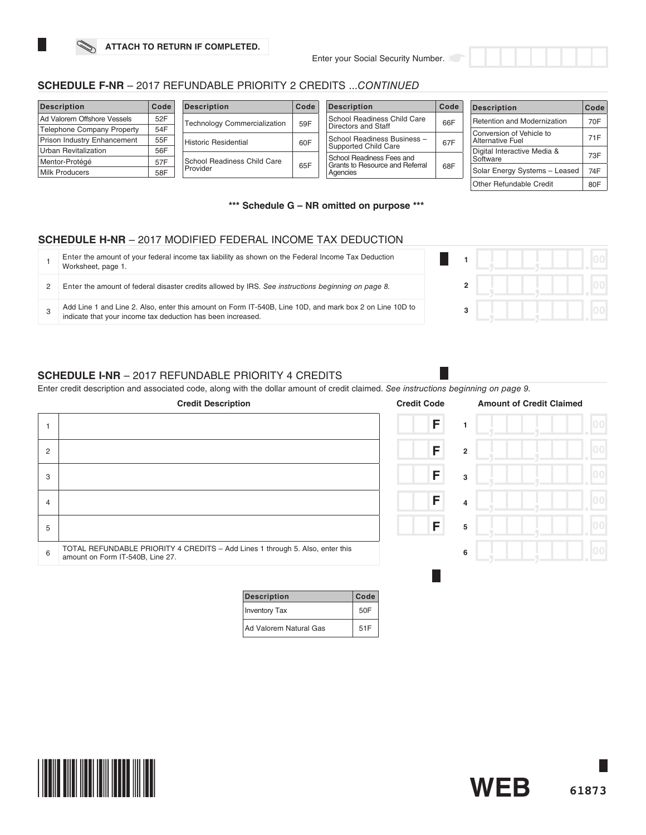# **SCHEDULE F-NR** – 2017 REFUNDABLE PRIORITY 2 CREDITS ...*CONTINUED*

| <b>Description</b>                | Code | <b>Description</b>                  | Code | <b>Description</b>                          | Code | <b>Description</b>            | Code |
|-----------------------------------|------|-------------------------------------|------|---------------------------------------------|------|-------------------------------|------|
| Ad Valorem Offshore Vessels       | 52F  | <b>Technology Commercialization</b> | 59F  | School Readiness Child Care                 | 66F  | Retention and Modernization   | 70F  |
| <b>Telephone Company Property</b> | 54F  |                                     |      | Directors and Staff                         |      | Conversion of Vehicle to      |      |
| Prison Industry Enhancement       | 55F  | Historic Residential                | 60F  | School Readiness Business -                 | 67F  | Alternative Fuel              | 71F  |
| Urban Revitalization              | 56F  |                                     |      | Supported Child Care                        |      | Digital Interactive Media &   | 73F  |
| Mentor-Protégé                    | 57F  | School Readiness Child Care         |      | School Readiness Fees and                   |      | Software                      |      |
| <b>Milk Producers</b>             | 58F  | Provider                            | 65F  | Grants to Resource and Referral<br>Agencies | 68F  | Solar Energy Systems - Leased | 74F  |
|                                   |      |                                     |      |                                             |      | Other Refundable Credit       | 80F  |

**\*\*\* Schedule G – NR omitted on purpose \*\*\***

# **SCHEDULE H-NR** – 2017 MODIFIED FEDERAL INCOME TAX DEDUCTION

| Enter the amount of your federal income tax liability as shown on the Federal Income Tax Deduction<br>Worksheet, page 1.                                               |  |  |
|------------------------------------------------------------------------------------------------------------------------------------------------------------------------|--|--|
| Enter the amount of federal disaster credits allowed by IRS. See instructions beginning on page 8.                                                                     |  |  |
| Add Line 1 and Line 2. Also, enter this amount on Form IT-540B, Line 10D, and mark box 2 on Line 10D to<br>indicate that your income tax deduction has been increased. |  |  |

# **SCHEDULE I-NR** – 2017 REFUNDABLE PRIORITY 4 CREDITS

Enter credit description and associated code, along with the dollar amount of credit claimed. *See instructions beginning on page 9.*

|                | <b>Credit Description</b>                                                                                         | <b>Credit Code</b>  | <b>Amount of Credit Claimed</b> |
|----------------|-------------------------------------------------------------------------------------------------------------------|---------------------|---------------------------------|
|                |                                                                                                                   | F                   |                                 |
| $\overline{2}$ |                                                                                                                   | F<br>$\overline{2}$ |                                 |
| 3              |                                                                                                                   | F<br>3              |                                 |
| 4              |                                                                                                                   | F<br>4              | 0 <sup>0</sup>                  |
| 5              |                                                                                                                   | F<br>5              |                                 |
| 6              | TOTAL REFUNDABLE PRIORITY 4 CREDITS - Add Lines 1 through 5. Also, enter this<br>amount on Form IT-540B, Line 27. | 6                   |                                 |
|                |                                                                                                                   |                     |                                 |

| <b>Description</b>     | Code |
|------------------------|------|
| <b>Inventory Tax</b>   | 50F  |
| Ad Valorem Natural Gas | 51F  |



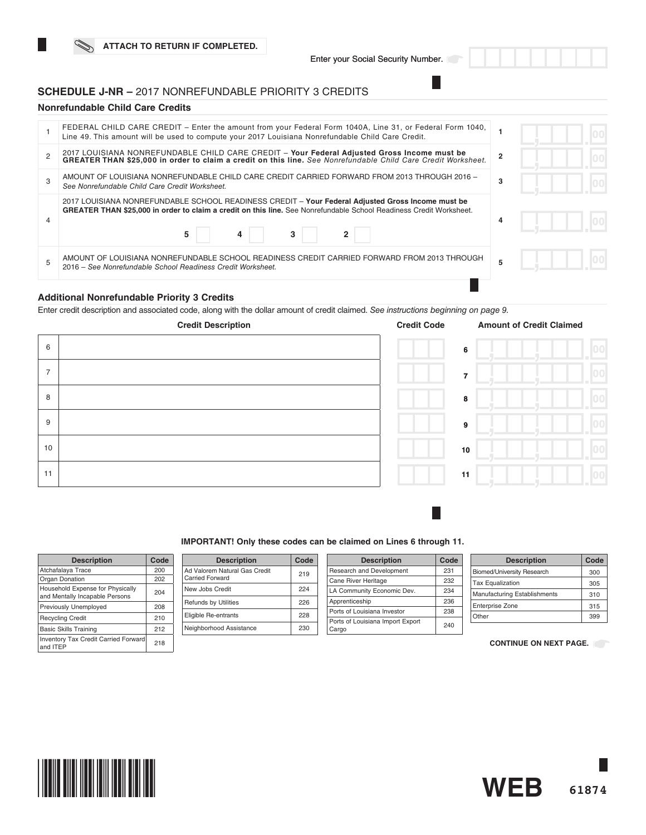# **SCHEDULE J-NR –** 2017 NONREFUNDABLE PRIORITY 3 CREDITS

### **Nonrefundable Child Care Credits**

| FEDERAL CHILD CARE CREDIT – Enter the amount from your Federal Form 1040A, Line 31, or Federal Form 1040,<br>Line 49. This amount will be used to compute your 2017 Louisiana Nonrefundable Child Care Credit.                     |   |  |  |
|------------------------------------------------------------------------------------------------------------------------------------------------------------------------------------------------------------------------------------|---|--|--|
| 2017 LOUISIANA NONREFUNDABLE CHILD CARE CREDIT - Your Federal Adjusted Gross Income must be<br>GREATER THAN \$25,000 in order to claim a credit on this line. See Nonrefundable Child Care Credit Worksheet.                       |   |  |  |
| AMOUNT OF LOUISIANA NONREFUNDABLE CHILD CARE CREDIT CARRIED FORWARD FROM 2013 THROUGH 2016 -<br>See Nonrefundable Child Care Credit Worksheet.                                                                                     | 3 |  |  |
| 2017 LOUISIANA NONREFUNDABLE SCHOOL READINESS CREDIT - Your Federal Adjusted Gross Income must be<br>GREATER THAN \$25,000 in order to claim a credit on this line. See Nonrefundable School Readiness Credit Worksheet.<br>3<br>5 | 4 |  |  |
| AMOUNT OF LOUISIANA NONREFUNDABLE SCHOOL READINESS CREDIT CARRIED FORWARD FROM 2013 THROUGH<br>2016 – See Nonrefundable School Readiness Credit Worksheet.                                                                         |   |  |  |
|                                                                                                                                                                                                                                    |   |  |  |

### **Additional Nonrefundable Priority 3 Credits**

Enter credit description and associated code, along with the dollar amount of credit claimed. *See instructions beginning on page 9.* 

| <b>Credit Description</b> |  | <b>Credit Code</b> | <b>Amount of Credit Claimed</b> |     |  |
|---------------------------|--|--------------------|---------------------------------|-----|--|
| 6                         |  |                    | 6                               | 00  |  |
| $\overline{7}$            |  |                    | $\overline{7}$                  | 00  |  |
| 8                         |  |                    | $\pmb{8}$                       | 100 |  |
| 9                         |  |                    | $\boldsymbol{9}$                | 00  |  |
| 10                        |  |                    | 10                              | 00  |  |
| 11                        |  |                    | 11                              | 100 |  |

### **IMPORTANT! Only these codes can be claimed on Lines 6 through 11.**

| <b>Description</b>                                                 | Code |
|--------------------------------------------------------------------|------|
| Atchafalaya Trace                                                  | 200  |
| Organ Donation                                                     | 202  |
| Household Expense for Physically<br>and Mentally Incapable Persons | 204  |
| Previously Unemployed                                              | 208  |
| <b>Recycling Credit</b>                                            | 210  |
| <b>Basic Skills Training</b>                                       | 212  |
| <b>Inventory Tax Credit Carried Forward</b><br>and ITEP            | 218  |

| <b>Description</b>                               | Code |
|--------------------------------------------------|------|
| Ad Valorem Natural Gas Credit<br>Carried Forward | 219  |
| New Jobs Credit                                  | 224  |
| <b>Refunds by Utilities</b>                      | 226  |
| Eligible Re-entrants                             | 228  |
| Neighborhood Assistance                          | 230  |

| <b>Description</b>                        | Code |
|-------------------------------------------|------|
| Research and Development                  | 231  |
| Cane River Heritage                       | 232  |
| LA Community Economic Dev.                | 234  |
| Apprenticeship                            | 236  |
| Ports of Louisiana Investor               | 238  |
| Ports of Louisiana Import Export<br>Cargo | 240  |

L.

| <b>Description</b>                  | Code |
|-------------------------------------|------|
| <b>Biomed/University Research</b>   | 300  |
| <b>Tax Equalization</b>             | 305  |
| <b>Manufacturing Establishments</b> | 310  |
| <b>Enterprise Zone</b>              | 315  |
| Other                               | 399  |

**CONTINUE ON NEXT PAGE.**

**WEB**

**61874**

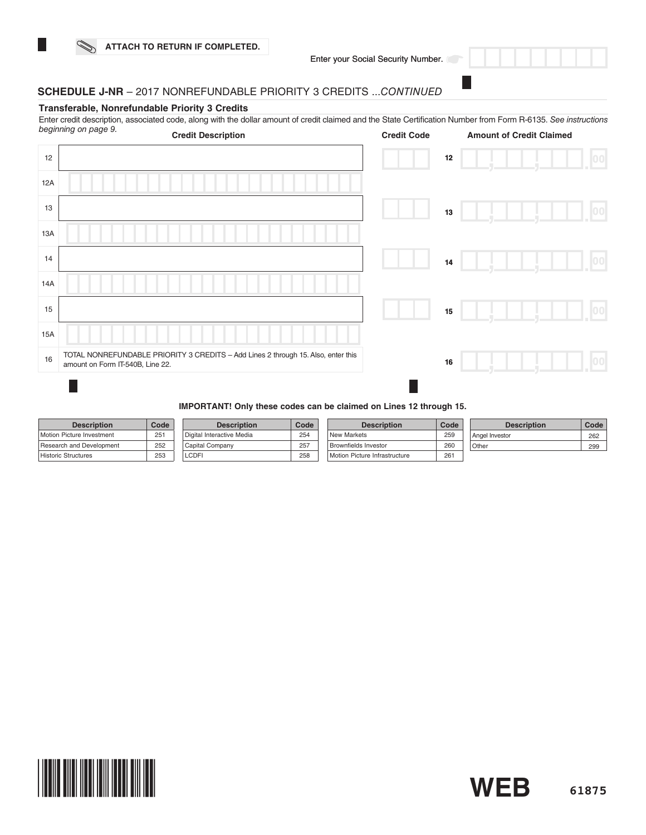

# **SCHEDULE J-NR** – 2017 NONREFUNDABLE PRIORITY 3 CREDITS ...*CONTINUED*

### **Transferable, Nonrefundable Priority 3 Credits**

Enter credit description, associated code, along with the dollar amount of credit claimed and the State Certification Number from Form R-6135. *See instructions* 

|     | beginning on page 9.<br><b>Credit Description</b>                                                                     | <b>Credit Code</b> |    | <b>Amount of Credit Claimed</b> |    |
|-----|-----------------------------------------------------------------------------------------------------------------------|--------------------|----|---------------------------------|----|
| 12  |                                                                                                                       |                    | 12 |                                 | 00 |
| 12A |                                                                                                                       |                    |    |                                 |    |
| 13  |                                                                                                                       |                    | 13 |                                 | 00 |
| 13A |                                                                                                                       |                    |    |                                 |    |
| 14  |                                                                                                                       |                    | 14 |                                 | 00 |
| 14A |                                                                                                                       |                    |    |                                 |    |
| 15  |                                                                                                                       |                    | 15 |                                 | 00 |
| 15A |                                                                                                                       |                    |    |                                 |    |
| 16  | TOTAL NONREFUNDABLE PRIORITY 3 CREDITS - Add Lines 2 through 15. Also, enter this<br>amount on Form IT-540B, Line 22. |                    | 16 |                                 |    |
|     |                                                                                                                       |                    |    |                                 |    |

#### **IMPORTANT! Only these codes can be claimed on Lines 12 through 15.**

| <b>Description</b>        | Code | <b>Description</b>                     | Code | <b>Description</b>            | Code | <b>Description</b> | Code |
|---------------------------|------|----------------------------------------|------|-------------------------------|------|--------------------|------|
| Motion Picture Investment | 251  | <sup>I</sup> Digital Interactive Media | 254  | <b>New Markets</b>            | 259  | Angel Investor     | 262  |
| Research and Development  | 252  | Capital Company                        | 257  | Brownfields Investor          | 260  | <sup>1</sup> Other | 299  |
| Historic Structures       | 253  | <b>LCDF</b>                            | 258  | Motion Picture Infrastructure | 261  |                    |      |

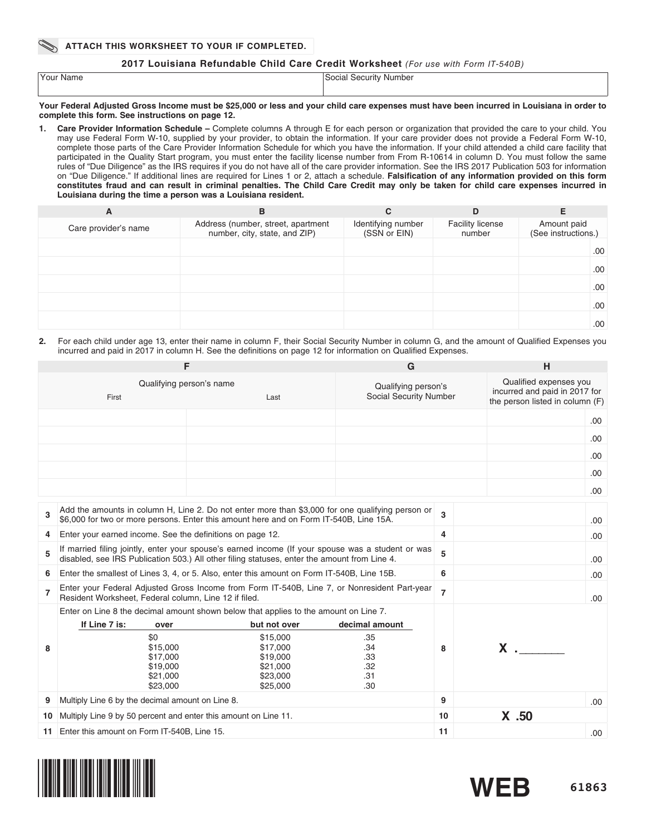### **2017 Louisiana Refundable Child Care Credit Worksheet** *(For use with Form IT-540B)*

| 'Your Name | Social Security Number |
|------------|------------------------|
|            |                        |

#### **Your Federal Adjusted Gross Income must be \$25,000 or less and your child care expenses must have been incurred in Louisiana in order to complete this form. See instructions on page 12.**

**1. Care Provider Information Schedule –** Complete columns A through E for each person or organization that provided the care to your child. You may use Federal Form W-10, supplied by your provider, to obtain the information. If your care provider does not provide a Federal Form W-10, complete those parts of the Care Provider Information Schedule for which you have the information. If your child attended a child care facility that participated in the Quality Start program, you must enter the facility license number from From R-10614 in column D. You must follow the same rules of "Due Diligence" as the IRS requires if you do not have all of the care provider information. See the IRS 2017 Publication 503 for information on "Due Diligence." If additional lines are required for Lines 1 or 2, attach a schedule. **Falsification of any information provided on this form constitutes fraud and can result in criminal penalties. The Child Care Credit may only be taken for child care expenses incurred in Louisiana during the time a person was a Louisiana resident.** 

| A                    | в                                                                   | С                                  | D                                 | Е                                  |
|----------------------|---------------------------------------------------------------------|------------------------------------|-----------------------------------|------------------------------------|
| Care provider's name | Address (number, street, apartment<br>number, city, state, and ZIP) | Identifying number<br>(SSN or EIN) | <b>Facility license</b><br>number | Amount paid<br>(See instructions.) |
|                      |                                                                     |                                    |                                   | .00.                               |
|                      |                                                                     |                                    |                                   | .00.                               |
|                      |                                                                     |                                    |                                   | .00.                               |
|                      |                                                                     |                                    |                                   | .00                                |
|                      |                                                                     |                                    |                                   | .00                                |

**2.** For each child under age 13, enter their name in column F, their Social Security Number in column G, and the amount of Qualified Expenses you incurred and paid in 2017 in column H. See the definitions on page 12 for information on Qualified Expenses.

|                | F                                                               |                                                                                                                                                                                                   | G                                             |                | H                                                                                          |      |  |
|----------------|-----------------------------------------------------------------|---------------------------------------------------------------------------------------------------------------------------------------------------------------------------------------------------|-----------------------------------------------|----------------|--------------------------------------------------------------------------------------------|------|--|
|                | First                                                           | Qualifying person's name<br>Last                                                                                                                                                                  | Qualifying person's<br>Social Security Number |                | Qualified expenses you<br>incurred and paid in 2017 for<br>the person listed in column (F) |      |  |
|                |                                                                 |                                                                                                                                                                                                   |                                               |                |                                                                                            | .00. |  |
|                |                                                                 |                                                                                                                                                                                                   |                                               |                |                                                                                            | .00. |  |
|                |                                                                 |                                                                                                                                                                                                   |                                               |                |                                                                                            | .00  |  |
|                |                                                                 |                                                                                                                                                                                                   |                                               |                |                                                                                            | .00. |  |
|                |                                                                 |                                                                                                                                                                                                   |                                               |                |                                                                                            |      |  |
|                |                                                                 |                                                                                                                                                                                                   |                                               |                |                                                                                            | .00. |  |
| 3              |                                                                 | Add the amounts in column H, Line 2. Do not enter more than \$3,000 for one qualifying person or<br>\$6,000 for two or more persons. Enter this amount here and on Form IT-540B, Line 15A.        |                                               | 3              |                                                                                            | .00. |  |
| 4              |                                                                 | Enter your earned income. See the definitions on page 12.                                                                                                                                         |                                               |                | 4                                                                                          |      |  |
| 5              |                                                                 | If married filing jointly, enter your spouse's earned income (If your spouse was a student or was<br>disabled, see IRS Publication 503.) All other filing statuses, enter the amount from Line 4. |                                               | 5              |                                                                                            | .00. |  |
| 6              |                                                                 | Enter the smallest of Lines 3, 4, or 5. Also, enter this amount on Form IT-540B, Line 15B.                                                                                                        |                                               | 6              |                                                                                            | .00  |  |
| $\overline{7}$ | Resident Worksheet, Federal column, Line 12 if filed.           | Enter your Federal Adjusted Gross Income from Form IT-540B, Line 7, or Nonresident Part-year                                                                                                      |                                               | $\overline{7}$ |                                                                                            | .00. |  |
|                |                                                                 | Enter on Line 8 the decimal amount shown below that applies to the amount on Line 7.                                                                                                              |                                               |                |                                                                                            |      |  |
|                | If Line 7 is:<br>over                                           | but not over                                                                                                                                                                                      | decimal amount                                |                |                                                                                            |      |  |
| 8              | \$0<br>\$15,000<br>\$17,000<br>\$19,000<br>\$21,000<br>\$23,000 | \$15,000<br>\$17,000<br>\$19,000<br>\$21,000<br>\$23,000<br>\$25,000                                                                                                                              | .35<br>.34<br>.33<br>.32<br>.31<br>.30        | 8              | $X$ . $\qquad$                                                                             |      |  |
| 9              | Multiply Line 6 by the decimal amount on Line 8.                |                                                                                                                                                                                                   |                                               | 9              |                                                                                            | .00. |  |
| 10             | Multiply Line 9 by 50 percent and enter this amount on Line 11. |                                                                                                                                                                                                   |                                               | 10             | $X$ .50                                                                                    |      |  |
| 11.            | Enter this amount on Form IT-540B, Line 15.                     |                                                                                                                                                                                                   |                                               | 11             |                                                                                            | .00. |  |